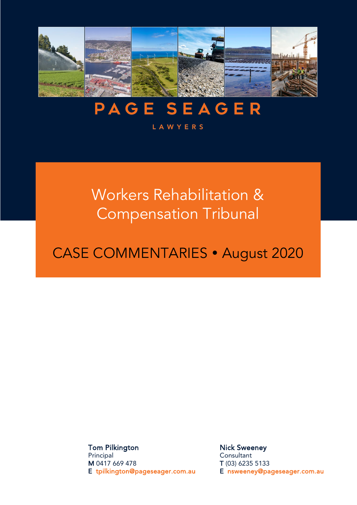

# **PAGE SEAGER**

#### **LAWYERS**

## Workers Rehabilitation & Compensation Tribunal

## CASE COMMENTARIES · August 2020

Tom Pilkington Principal M 0417 669 478 E [tpilkington@pageseager.com.au](mailto:tpilkington@pageseager.com.au)

Nick Sweeney **Consultant** T (03) 6235 5133 E [nsweeney@pageseager.com.au](mailto:nsweeney@pageseager.com.au)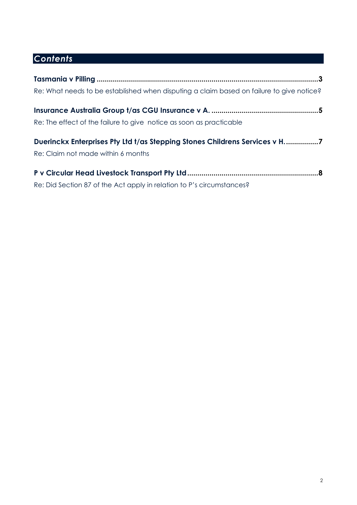### *Contents*

| Re: What needs to be established when disputing a claim based on failure to give notice? |
|------------------------------------------------------------------------------------------|
|                                                                                          |
| Re: The effect of the failure to give notice as soon as practicable                      |
| Duerinckx Enterprises Pty Ltd t/as Stepping Stones Childrens Services v H. 7             |
| Re: Claim not made within 6 months                                                       |
|                                                                                          |
| Re: Did Section 87 of the Act apply in relation to P's circumstances?                    |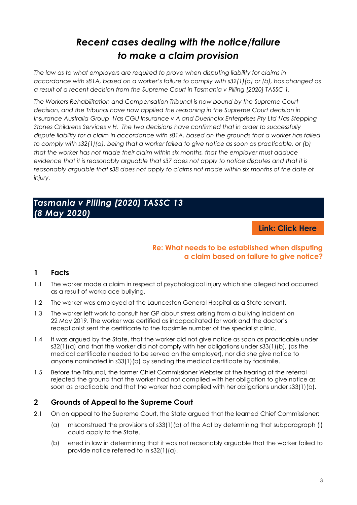### *Recent cases dealing with the notice/failure to make a claim provision*

<span id="page-2-0"></span>*The law as to what employers are required to prove when disputing liability for claims in accordance with s81A, based on a worker's failure to comply with s32(1)(a) or (b), has changed as a result of a recent decision from the Supreme Court in Tasmania v Pilling [2020] TASSC 1.* 

*The Workers Rehabilitation and Compensation Tribunal is now bound by the Supreme Court decision, and the Tribunal have now applied the reasoning in the Supreme Court decision in Insurance Australia Group t/as CGU Insurance v A and Duerinckx Enterprises Pty Ltd t/as Stepping Stones Childrens Services v H. The two decisions have confirmed that in order to successfully dispute liability for a claim in accordance with s81A, based on the grounds that a worker has failed to comply with s32(1)(a), being that a worker failed to give notice as soon as practicable, or (b) that the worker has not made their claim within six months, that the employer must adduce evidence that it is reasonably arguable that s37 does not apply to notice disputes and that it is reasonably arguable that s38 does not apply to claims not made within six months of the date of injury.* 

#### *Tasmania v Pilling [2020] TASSC 13 (8 May 2020)*

**Link: [Click Here](https://www.austlii.edu.au/cgi-bin/viewdoc/au/cases/tas/TASSC/2020/13.html?context=1;query=%5b2020%5d)**

#### **Re: What needs to be established when disputing a claim based on failure to give notice?**

#### **1 Facts**

- 1.1 The worker made a claim in respect of psychological injury which she alleged had occurred as a result of workplace bullying.
- 1.2 The worker was employed at the Launceston General Hospital as a State servant.
- 1.3 The worker left work to consult her GP about stress arising from a bullying incident on 22 May 2019. The worker was certified as incapacitated for work and the doctor's receptionist sent the certificate to the facsimile number of the specialist clinic.
- 1.4 It was argued by the State, that the worker did not give notice as soon as practicable under s32(1)(a) and that the worker did not comply with her obligations under s33(1)(b), (as the medical certificate needed to be served on the employer), nor did she give notice to anyone nominated in s33(1)(b) by sending the medical certificate by facsimile.
- 1.5 Before the Tribunal, the former Chief Commissioner Webster at the hearing of the referral rejected the ground that the worker had not complied with her obligation to give notice as soon as practicable and that the worker had complied with her obligations under s33(1)(b).

#### **2 Grounds of Appeal to the Supreme Court**

- 2.1 On an appeal to the Supreme Court, the State argued that the learned Chief Commissioner:
	- (a) misconstrued the provisions of s33(1)(b) of the Act by determining that subparagraph (i) could apply to the State.
	- (b) erred in law in determining that it was not reasonably arguable that the worker failed to provide notice referred to in s32(1)(a).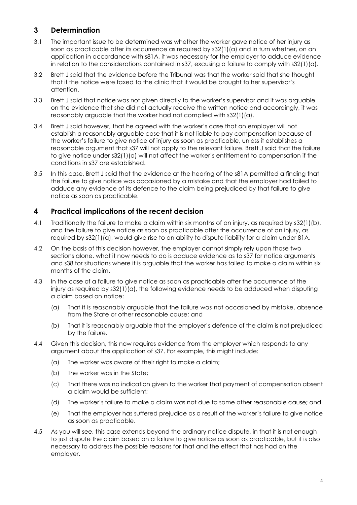#### **3 Determination**

- 3.1 The important issue to be determined was whether the worker gave notice of her injury as soon as practicable after its occurrence as required by s32(1)(a) and in turn whether, on an application in accordance with s81A, it was necessary for the employer to adduce evidence in relation to the considerations contained in s37, excusing a failure to comply with s32(1)(a).
- 3.2 Brett J said that the evidence before the Tribunal was that the worker said that she thought that if the notice were faxed to the clinic that it would be brought to her supervisor's attention.
- 3.3 Brett J said that notice was not given directly to the worker's supervisor and it was arguable on the evidence that she did not actually receive the written notice and accordingly, it was reasonably arguable that the worker had not complied with s32(1)(a).
- 3.4 Brett J said however, that he agreed with the worker's case that an employer will not establish a reasonably arguable case that it is not liable to pay compensation because of the worker's failure to give notice of injury as soon as practicable, unless it establishes a reasonable argument that s37 will not apply to the relevant failure. Brett J said that the failure to give notice under s32(1)(a) will not affect the worker's entitlement to compensation if the conditions in s37 are established.
- 3.5 In this case, Brett J said that the evidence at the hearing of the s81A permitted a finding that the failure to give notice was occasioned by a mistake and that the employer had failed to adduce any evidence of its defence to the claim being prejudiced by that failure to give notice as soon as practicable.

#### **4 Practical implications of the recent decision**

- 4.1 Traditionally the failure to make a claim within six months of an injury, as required by s32(1)(b), and the failure to give notice as soon as practicable after the occurrence of an injury, as required by s32(1)(a), would give rise to an ability to dispute liability for a claim under 81A.
- 4.2 On the basis of this decision however, the employer cannot simply rely upon those two sections alone, what it now needs to do is adduce evidence as to s37 for notice arguments and s38 for situations where it is arguable that the worker has failed to make a claim within six months of the claim.
- 4.3 In the case of a failure to give notice as soon as practicable after the occurrence of the injury as required by s32(1)(a), the following evidence needs to be adduced when disputing a claim based on notice:
	- (a) That it is reasonably arguable that the failure was not occasioned by mistake, absence from the State or other reasonable cause; and
	- (b) That it is reasonably arguable that the employer's defence of the claim is not prejudiced by the failure.
- 4.4 Given this decision, this now requires evidence from the employer which responds to any argument about the application of s37. For example, this might include:
	- (a) The worker was aware of their right to make a claim;
	- (b) The worker was in the State;
	- (c) That there was no indication given to the worker that payment of compensation absent a claim would be sufficient;
	- (d) The worker's failure to make a claim was not due to some other reasonable cause; and
	- (e) That the employer has suffered prejudice as a result of the worker's failure to give notice as soon as practicable.
- 4.5 As you will see, this case extends beyond the ordinary notice dispute, in that it is not enough to just dispute the claim based on a failure to give notice as soon as practicable, but it is also necessary to address the possible reasons for that and the effect that has had on the employer.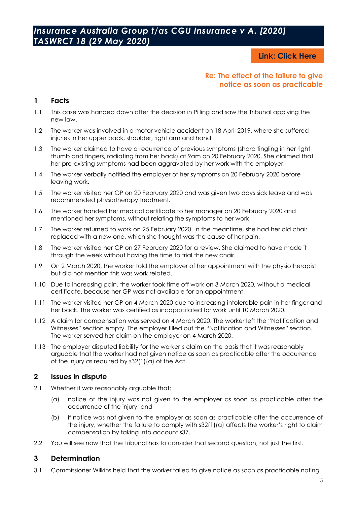#### <span id="page-4-0"></span>*Insurance Australia Group t/as CGU Insurance v A. [2020] TASWRCT 18 (29 May 2020)*

**Link: [Click Here](https://www.austlii.edu.au/cgi-bin/viewdoc/au/cases/tas/TASWRCT/2020/18.html?context=1;query=%5b2020%5d)**

#### **Re: The effect of the failure to give notice as soon as practicable**

#### **1 Facts**

- 1.1 This case was handed down after the decision in Pilling and saw the Tribunal applying the new law.
- 1.2 The worker was involved in a motor vehicle accident on 18 April 2019, where she suffered injuries in her upper back, shoulder, right arm and hand.
- 1.3 The worker claimed to have a recurrence of previous symptoms (sharp tingling in her right thumb and fingers, radiating from her back) at 9am on 20 February 2020. She claimed that her pre-existing symptoms had been aggravated by her work with the employer.
- 1.4 The worker verbally notified the employer of her symptoms on 20 February 2020 before leaving work.
- 1.5 The worker visited her GP on 20 February 2020 and was given two days sick leave and was recommended physiotherapy treatment.
- 1.6 The worker handed her medical certificate to her manager on 20 February 2020 and mentioned her symptoms, without relating the symptoms to her work.
- 1.7 The worker returned to work on 25 February 2020. In the meantime, she had her old chair replaced with a new one, which she thought was the cause of her pain.
- 1.8 The worker visited her GP on 27 February 2020 for a review. She claimed to have made it through the week without having the time to trial the new chair.
- 1.9 On 2 March 2020, the worker told the employer of her appointment with the physiotherapist but did not mention this was work related.
- 1.10 Due to increasing pain, the worker took time off work on 3 March 2020, without a medical certificate, because her GP was not available for an appointment.
- 1.11 The worker visited her GP on 4 March 2020 due to increasing intolerable pain in her finger and her back. The worker was certified as incapacitated for work until 10 March 2020.
- 1.12 A claim for compensation was served on 4 March 2020. The worker left the "Notification and Witnesses" section empty. The employer filled out the "Notification and Witnesses" section. The worker served her claim on the employer on 4 March 2020.
- 1.13 The employer disputed liability for the worker's claim on the basis that it was reasonably arguable that the worker had not given notice as soon as practicable after the occurrence of the injury as required by s32(1)(a) of the Act.

#### **2 Issues in dispute**

- 2.1 Whether it was reasonably arguable that:
	- (a) notice of the injury was not given to the employer as soon as practicable after the occurrence of the injury; and
	- (b) if notice was not given to the employer as soon as practicable after the occurrence of the injury, whether the failure to comply with s32(1)(a) affects the worker's right to claim compensation by taking into account s37.
- 2.2 You will see now that the Tribunal has to consider that second question, not just the first.

#### **3 Determination**

3.1 Commissioner Wilkins held that the worker failed to give notice as soon as practicable noting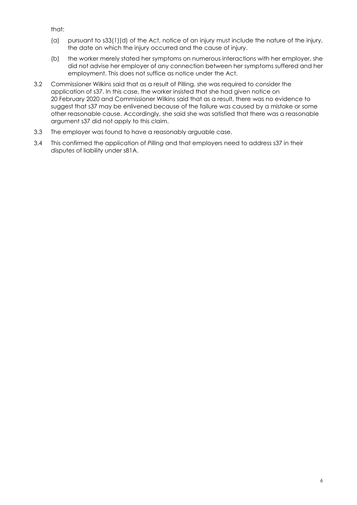that:

- (a) pursuant to s33(1)(d) of the Act, notice of an injury must include the nature of the injury, the date on which the injury occurred and the cause of injury.
- (b) the worker merely stated her symptoms on numerous interactions with her employer, she did not advise her employer of any connection between her symptoms suffered and her employment. This does not suffice as notice under the Act.
- 3.2 Commissioner Wilkins said that as a result of Pilling, she was required to consider the application of s37. In this case, the worker insisted that she had given notice on 20 February 2020 and Commissioner Wilkins said that as a result, there was no evidence to suggest that s37 may be enlivened because of the failure was caused by a mistake or some other reasonable cause. Accordingly, she said she was satisfied that there was a reasonable argument s37 did not apply to this claim.
- 3.3 The employer was found to have a reasonably arguable case.
- 3.4 This confirmed the application of *Pilling* and that employers need to address s37 in their disputes of liability under s81A.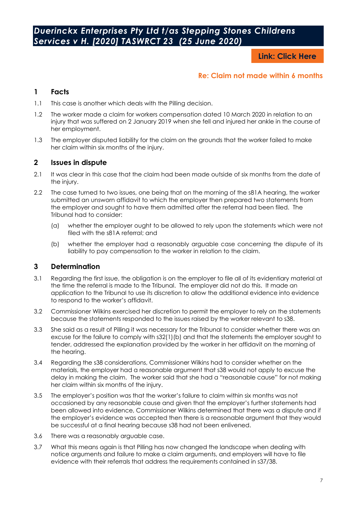**Link: [Click Here](https://www.austlii.edu.au/cgi-bin/viewdoc/au/cases/tas/TASWRCT/2020/23.html?context=1;query=%5b2020%5d)**

#### **Re: Claim not made within 6 months**

#### <span id="page-6-0"></span>**1 Facts**

- 1.1 This case is another which deals with the Pilling decision.
- 1.2 The worker made a claim for workers compensation dated 10 March 2020 in relation to an injury that was suffered on 2 January 2019 when she fell and injured her ankle in the course of her employment.
- 1.3 The employer disputed liability for the claim on the grounds that the worker failed to make her claim within six months of the injury.

#### **2 Issues in dispute**

- 2.1 It was clear in this case that the claim had been made outside of six months from the date of the injury.
- 2.2 The case turned to two issues, one being that on the morning of the s81A hearing, the worker submitted an unsworn affidavit to which the employer then prepared two statements from the employer and sought to have them admitted after the referral had been filed. The Tribunal had to consider:
	- (a) whether the employer ought to be allowed to rely upon the statements which were not filed with the s81A referral; and
	- (b) whether the employer had a reasonably arguable case concerning the dispute of its liability to pay compensation to the worker in relation to the claim.

#### **3 Determination**

- 3.1 Regarding the first issue, the obligation is on the employer to file all of its evidentiary material at the time the referral is made to the Tribunal. The employer did not do this. It made an application to the Tribunal to use its discretion to allow the additional evidence into evidence to respond to the worker's affidavit.
- 3.2 Commissioner Wilkins exercised her discretion to permit the employer to rely on the statements because the statements responded to the issues raised by the worker relevant to s38.
- 3.3 She said as a result of Pilling it was necessary for the Tribunal to consider whether there was an excuse for the failure to comply with s32(1)(b) and that the statements the employer sought to tender, addressed the explanation provided by the worker in her affidavit on the morning of the hearing.
- 3.4 Regarding the s38 considerations, Commissioner Wilkins had to consider whether on the materials, the employer had a reasonable argument that s38 would not apply to excuse the delay in making the claim. The worker said that she had a "reasonable cause" for not making her claim within six months of the injury.
- 3.5 The employer's position was that the worker's failure to claim within six months was not occasioned by any reasonable cause and given that the employer's further statements had been allowed into evidence, Commissioner Wilkins determined that there was a dispute and if the employer's evidence was accepted then there is a reasonable argument that they would be successful at a final hearing because s38 had not been enlivened.
- 3.6 There was a reasonably arguable case.
- 3.7 What this means again is that Pilling has now changed the landscape when dealing with notice arguments and failure to make a claim arguments, and employers will have to file evidence with their referrals that address the requirements contained in s37/38.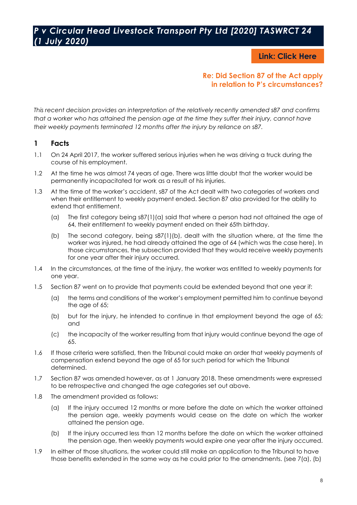#### <span id="page-7-0"></span>*P v Circular Head Livestock Transport Pty Ltd [2020] TASWRCT 24 (1 July 2020)*

**Link: [Click Here](https://www.austlii.edu.au/cgi-bin/viewdoc/au/cases/tas/TASWRCT/2020/24.html?context=1;query=Circular)**

#### **Re: Did Section 87 of the Act apply in relation to P's circumstances?**

*This recent decision provides an interpretation of the relatively recently amended s87 and confirms that a worker who has attained the pension age at the time they suffer their injury, cannot have their weekly payments terminated 12 months after the injury by reliance on s87.*

#### **1 Facts**

- 1.1 On 24 April 2017, the worker suffered serious injuries when he was driving a truck during the course of his employment.
- 1.2 At the time he was almost 74 years of age. There was little doubt that the worker would be permanently incapacitated for work as a result of his injuries.
- 1.3 At the time of the worker's accident, s87 of the Act dealt with two categories of workers and when their entitlement to weekly payment ended. Section 87 also provided for the ability to extend that entitlement.
	- (a) The first category being s87(1)(a) said that where a person had not attained the age of 64, their entitlement to weekly payment ended on their 65th birthday.
	- (b) The second category, being s87(1)(b), dealt with the situation where, at the time the worker was injured, he had already attained the age of 64 (which was the case here). In those circumstances, the subsection provided that they would receive weekly payments for one year after their injury occurred.
- 1.4 In the circumstances, at the time of the injury, the worker was entitled to weekly payments for one year.
- 1.5 Section 87 went on to provide that payments could be extended beyond that one year if:
	- (a) the terms and conditions of the worker's employment permitted him to continue beyond the age of 65;
	- (b) but for the injury, he intended to continue in that employment beyond the age of 65; and
	- (c) the incapacity of the worker resulting from that injury would continue beyond the age of 65.
- 1.6 If those criteria were satisfied, then the Tribunal could make an order that weekly payments of compensation extend beyond the age of 65 for such period for which the Tribunal determined.
- 1.7 Section 87 was amended however, as at 1 January 2018. These amendments were expressed to be retrospective and changed the age categories set out above.
- 1.8 The amendment provided as follows:
	- (a) If the injury occurred 12 months or more before the date on which the worker attained the pension age, weekly payments would cease on the date on which the worker attained the pension age.
	- (b) If the injury occurred less than 12 months before the date on which the worker attained the pension age, then weekly payments would expire one year after the injury occurred.
- 1.9 In either of those situations, the worker could still make an application to the Tribunal to have those benefits extended in the same way as he could prior to the amendments. (see 7(a), (b)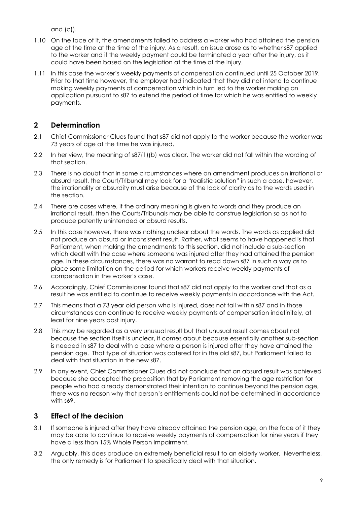and (c)).

- 1.10 On the face of it, the amendments failed to address a worker who had attained the pension age at the time at the time of the injury. As a result, an issue arose as to whether s87 applied to the worker and if the weekly payment could be terminated a year after the injury, as it could have been based on the legislation at the time of the injury.
- 1.11 In this case the worker's weekly payments of compensation continued until 25 October 2019. Prior to that time however, the employer had indicated that they did not intend to continue making weekly payments of compensation which in turn led to the worker making an application pursuant to s87 to extend the period of time for which he was entitled to weekly payments.

#### **2 Determination**

- 2.1 Chief Commissioner Clues found that s87 did not apply to the worker because the worker was 73 years of age at the time he was injured.
- 2.2 In her view, the meaning of s87(1)(b) was clear. The worker did not fall within the wording of that section.
- 2.3 There is no doubt that in some circumstances where an amendment produces an irrational or absurd result, the Court/Tribunal may look for a "realistic solution" in such a case, however, the irrationality or absurdity must arise because of the lack of clarity as to the words used in the section.
- 2.4 There are cases where, if the ordinary meaning is given to words and they produce an irrational result, then the Courts/Tribunals may be able to construe legislation so as not to produce patently unintended or absurd results.
- 2.5 In this case however, there was nothing unclear about the words. The words as applied did not produce an absurd or inconsistent result. Rather, what seems to have happened is that Parliament, when making the amendments to this section, did not include a sub-section which dealt with the case where someone was injured after they had attained the pension age. In these circumstances, there was no warrant to read down s87 in such a way as to place some limitation on the period for which workers receive weekly payments of compensation in the worker's case.
- 2.6 Accordingly, Chief Commissioner found that s87 did not apply to the worker and that as a result he was entitled to continue to receive weekly payments in accordance with the Act.
- 2.7 This means that a 73 year old person who is injured, does not fall within s87 and in those circumstances can continue to receive weekly payments of compensation indefinitely, at least for nine years post injury.
- 2.8 This may be regarded as a very unusual result but that unusual result comes about not because the section itself is unclear, it comes about because essentially another sub-section is needed in s87 to deal with a case where a person is injured after they have attained the pension age. That type of situation was catered for in the old s87, but Parliament failed to deal with that situation in the new s87.
- 2.9 In any event, Chief Commissioner Clues did not conclude that an absurd result was achieved because she accepted the proposition that by Parliament removing the age restriction for people who had already demonstrated their intention to continue beyond the pension age, there was no reason why that person's entitlements could not be determined in accordance with s69.

#### **3 Effect of the decision**

- 3.1 If someone is injured after they have already attained the pension age, on the face of it they may be able to continue to receive weekly payments of compensation for nine years if they have a less than 15% Whole Person Impairment.
- 3.2 Arguably, this does produce an extremely beneficial result to an elderly worker. Nevertheless, the only remedy is for Parliament to specifically deal with that situation.